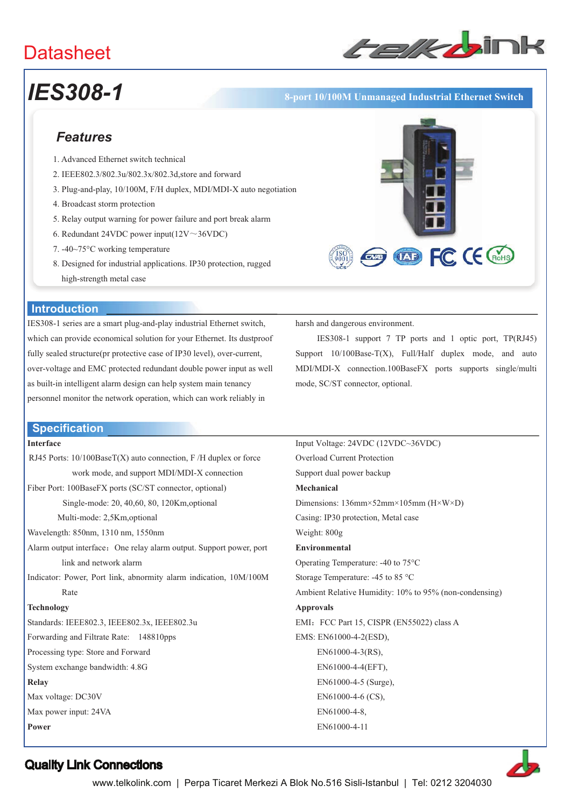# **Datasheet**



# *IES308-1* **8-port 10/100M Unmanaged Industrial Ethernet Switch**

# *Features*

- 1. Advanced Ethernet switch technical
- 2. IEEE802.3/802.3u/802.3x/802.3d,store and forward
- 3. Plug-and-play, 10/100M, F/H duplex, MDI/MDI-X auto negotiation
- 4. Broadcast storm protection
- 5. Relay output warning for power failure and port break alarm
- 6. Redundant 24VDC power input( $12V \sim 36VDC$ )
- 7. -40~75°C working temperature
- 8. Designed for industrial applications. IP30 protection, rugged high-strength metal case

## **Introduction**

IES308-1 series are a smart plug-and-play industrial Ethernet switch, which can provide economical solution for your Ethernet. Its dustproof fully sealed structure(pr protective case of IP30 level), over-current, over-voltage and EMC protected redundant double power input as well as built-in intelligent alarm design can help system main tenancy personnel monitor the network operation, which can work reliably in

### **Specification**

### **Interface**

RJ45 Ports: 10/100BaseT(X) auto connection, F /H duplex or force work mode, and support MDI/MDI-X connection Fiber Port: 100BaseFX ports (SC/ST connector, optional) Single-mode: 20, 40,60, 80, 120Km,optional Multi-mode: 2,5Km,optional Wavelength: 850nm, 1310 nm, 1550nm Alarm output interface: One relay alarm output. Support power, port link and network alarm Indicator: Power, Port link, abnormity alarm indication, 10M/100M Rate **Technology**  Standards: IEEE802.3, IEEE802.3x, IEEE802.3u Forwarding and Filtrate Rate: 148810pps Processing type: Store and Forward System exchange bandwidth: 4.8G **Relay**  Max voltage: DC30V Max power input: 24VA **Power** 

harsh and dangerous environment.

IES308-1 support 7 TP ports and 1 optic port, TP(RJ45) Support  $10/100Base-T(X)$ , Full/Half duplex mode, and auto MDI/MDI-X connection.100BaseFX ports supports single/multi mode, SC/ST connector, optional.

**Example FC (E GioHS)** 

Input Voltage: 24VDC (12VDC~36VDC) Overload Current Protection Support dual power backup **Mechanical**  Dimensions: 136mm×52mm×105mm (H×W×D) Casing: IP30 protection, Metal case Weight: 800g **Environmental**  Operating Temperature: -40 to 75°C Storage Temperature: -45 to 85 °C Ambient Relative Humidity: 10% to 95% (non-condensing) **Approvals** EMI: FCC Part 15, CISPR (EN55022) class A EMS: EN61000-4-2(ESD), EN61000-4-3(RS), EN61000-4-4(EFT), EN61000-4-5 (Surge), EN61000-4-6 (CS), EN61000-4-8, EN61000-4-11

# Quality Link Connections